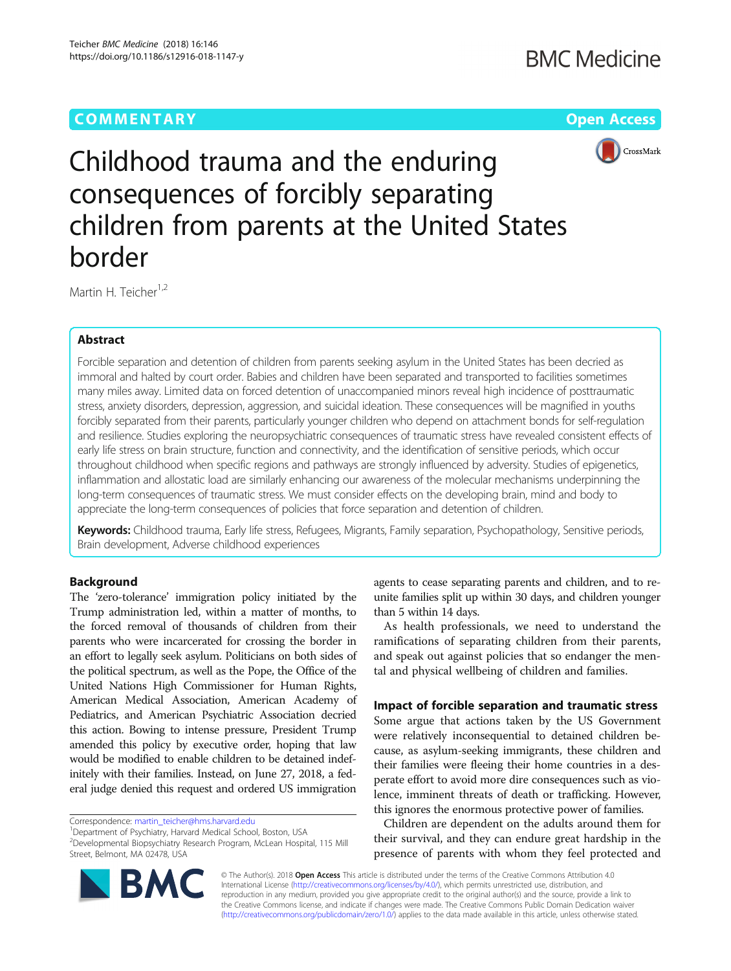# **COMMENTARY COMMENTARY COMMENTARY**



Childhood trauma and the enduring consequences of forcibly separating children from parents at the United States border

Martin H. Teicher<sup>1,2</sup>

### Abstract

Forcible separation and detention of children from parents seeking asylum in the United States has been decried as immoral and halted by court order. Babies and children have been separated and transported to facilities sometimes many miles away. Limited data on forced detention of unaccompanied minors reveal high incidence of posttraumatic stress, anxiety disorders, depression, aggression, and suicidal ideation. These consequences will be magnified in youths forcibly separated from their parents, particularly younger children who depend on attachment bonds for self-regulation and resilience. Studies exploring the neuropsychiatric consequences of traumatic stress have revealed consistent effects of early life stress on brain structure, function and connectivity, and the identification of sensitive periods, which occur throughout childhood when specific regions and pathways are strongly influenced by adversity. Studies of epigenetics, inflammation and allostatic load are similarly enhancing our awareness of the molecular mechanisms underpinning the long-term consequences of traumatic stress. We must consider effects on the developing brain, mind and body to appreciate the long-term consequences of policies that force separation and detention of children.

Keywords: Childhood trauma, Early life stress, Refugees, Migrants, Family separation, Psychopathology, Sensitive periods, Brain development, Adverse childhood experiences

### Background

The 'zero-tolerance' immigration policy initiated by the Trump administration led, within a matter of months, to the forced removal of thousands of children from their parents who were incarcerated for crossing the border in an effort to legally seek asylum. Politicians on both sides of the political spectrum, as well as the Pope, the Office of the United Nations High Commissioner for Human Rights, American Medical Association, American Academy of Pediatrics, and American Psychiatric Association decried this action. Bowing to intense pressure, President Trump amended this policy by executive order, hoping that law would be modified to enable children to be detained indefinitely with their families. Instead, on June 27, 2018, a federal judge denied this request and ordered US immigration

Correspondence: [martin\\_teicher@hms.harvard.edu](mailto:martin_teicher@hms.harvard.edu) <sup>1</sup>

agents to cease separating parents and children, and to reunite families split up within 30 days, and children younger than 5 within 14 days.

As health professionals, we need to understand the ramifications of separating children from their parents, and speak out against policies that so endanger the mental and physical wellbeing of children and families.

### Impact of forcible separation and traumatic stress

Some argue that actions taken by the US Government were relatively inconsequential to detained children because, as asylum-seeking immigrants, these children and their families were fleeing their home countries in a desperate effort to avoid more dire consequences such as violence, imminent threats of death or trafficking. However, this ignores the enormous protective power of families.

Children are dependent on the adults around them for their survival, and they can endure great hardship in the presence of parents with whom they feel protected and



© The Author(s). 2018 Open Access This article is distributed under the terms of the Creative Commons Attribution 4.0 International License [\(http://creativecommons.org/licenses/by/4.0/](http://creativecommons.org/licenses/by/4.0/)), which permits unrestricted use, distribution, and reproduction in any medium, provided you give appropriate credit to the original author(s) and the source, provide a link to the Creative Commons license, and indicate if changes were made. The Creative Commons Public Domain Dedication waiver [\(http://creativecommons.org/publicdomain/zero/1.0/](http://creativecommons.org/publicdomain/zero/1.0/)) applies to the data made available in this article, unless otherwise stated.

<sup>&</sup>lt;sup>1</sup>Department of Psychiatry, Harvard Medical School, Boston, USA

<sup>2</sup> Developmental Biopsychiatry Research Program, McLean Hospital, 115 Mill Street, Belmont, MA 02478, USA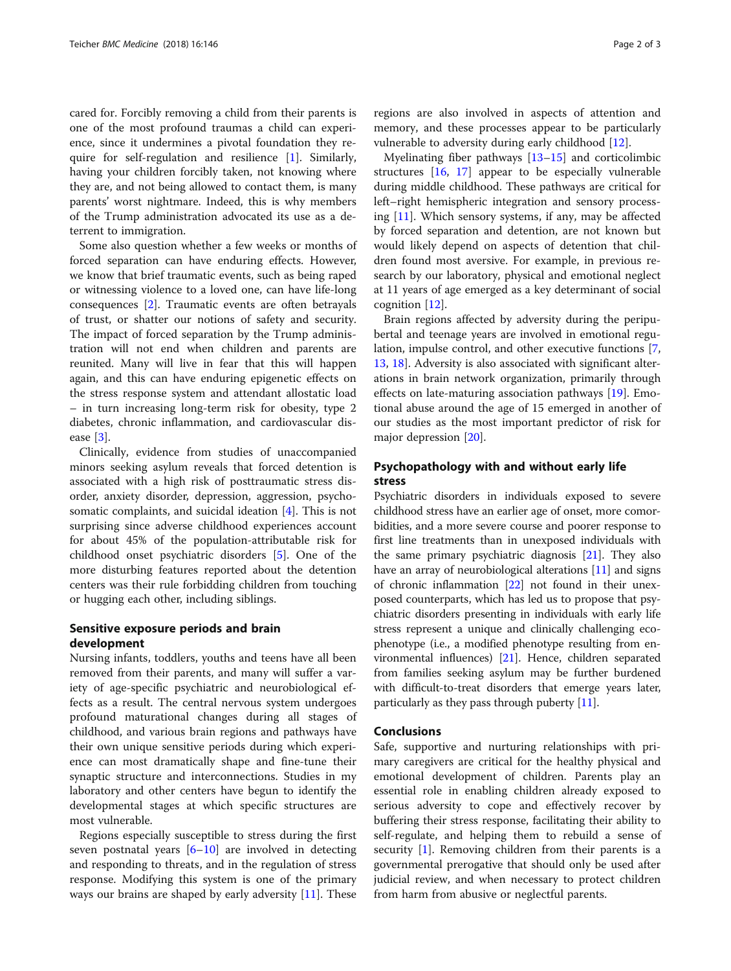cared for. Forcibly removing a child from their parents is one of the most profound traumas a child can experience, since it undermines a pivotal foundation they require for self-regulation and resilience [[1\]](#page-2-0). Similarly, having your children forcibly taken, not knowing where they are, and not being allowed to contact them, is many parents' worst nightmare. Indeed, this is why members of the Trump administration advocated its use as a deterrent to immigration.

Some also question whether a few weeks or months of forced separation can have enduring effects. However, we know that brief traumatic events, such as being raped or witnessing violence to a loved one, can have life-long consequences [\[2](#page-2-0)]. Traumatic events are often betrayals of trust, or shatter our notions of safety and security. The impact of forced separation by the Trump administration will not end when children and parents are reunited. Many will live in fear that this will happen again, and this can have enduring epigenetic effects on the stress response system and attendant allostatic load – in turn increasing long-term risk for obesity, type 2 diabetes, chronic inflammation, and cardiovascular disease [[3\]](#page-2-0).

Clinically, evidence from studies of unaccompanied minors seeking asylum reveals that forced detention is associated with a high risk of posttraumatic stress disorder, anxiety disorder, depression, aggression, psychosomatic complaints, and suicidal ideation [[4\]](#page-2-0). This is not surprising since adverse childhood experiences account for about 45% of the population-attributable risk for childhood onset psychiatric disorders [[5\]](#page-2-0). One of the more disturbing features reported about the detention centers was their rule forbidding children from touching or hugging each other, including siblings.

### Sensitive exposure periods and brain development

Nursing infants, toddlers, youths and teens have all been removed from their parents, and many will suffer a variety of age-specific psychiatric and neurobiological effects as a result. The central nervous system undergoes profound maturational changes during all stages of childhood, and various brain regions and pathways have their own unique sensitive periods during which experience can most dramatically shape and fine-tune their synaptic structure and interconnections. Studies in my laboratory and other centers have begun to identify the developmental stages at which specific structures are most vulnerable.

Regions especially susceptible to stress during the first seven postnatal years [[6](#page-2-0)–[10\]](#page-2-0) are involved in detecting and responding to threats, and in the regulation of stress response. Modifying this system is one of the primary ways our brains are shaped by early adversity [\[11\]](#page-2-0). These

regions are also involved in aspects of attention and memory, and these processes appear to be particularly vulnerable to adversity during early childhood [\[12](#page-2-0)].

Myelinating fiber pathways [[13](#page-2-0)–[15](#page-2-0)] and corticolimbic structures [\[16,](#page-2-0) [17](#page-2-0)] appear to be especially vulnerable during middle childhood. These pathways are critical for left–right hemispheric integration and sensory processing [[11\]](#page-2-0). Which sensory systems, if any, may be affected by forced separation and detention, are not known but would likely depend on aspects of detention that children found most aversive. For example, in previous research by our laboratory, physical and emotional neglect at 11 years of age emerged as a key determinant of social cognition [\[12](#page-2-0)].

Brain regions affected by adversity during the peripubertal and teenage years are involved in emotional regulation, impulse control, and other executive functions [\[7](#page-2-0), [13,](#page-2-0) [18](#page-2-0)]. Adversity is also associated with significant alterations in brain network organization, primarily through effects on late-maturing association pathways [[19\]](#page-2-0). Emotional abuse around the age of 15 emerged in another of our studies as the most important predictor of risk for major depression [\[20\]](#page-2-0).

### Psychopathology with and without early life stress

Psychiatric disorders in individuals exposed to severe childhood stress have an earlier age of onset, more comorbidities, and a more severe course and poorer response to first line treatments than in unexposed individuals with the same primary psychiatric diagnosis [[21](#page-2-0)]. They also have an array of neurobiological alterations [\[11\]](#page-2-0) and signs of chronic inflammation [\[22](#page-2-0)] not found in their unexposed counterparts, which has led us to propose that psychiatric disorders presenting in individuals with early life stress represent a unique and clinically challenging ecophenotype (i.e., a modified phenotype resulting from environmental influences) [[21](#page-2-0)]. Hence, children separated from families seeking asylum may be further burdened with difficult-to-treat disorders that emerge years later, particularly as they pass through puberty [\[11](#page-2-0)].

### **Conclusions**

Safe, supportive and nurturing relationships with primary caregivers are critical for the healthy physical and emotional development of children. Parents play an essential role in enabling children already exposed to serious adversity to cope and effectively recover by buffering their stress response, facilitating their ability to self-regulate, and helping them to rebuild a sense of security [[1\]](#page-2-0). Removing children from their parents is a governmental prerogative that should only be used after judicial review, and when necessary to protect children from harm from abusive or neglectful parents.